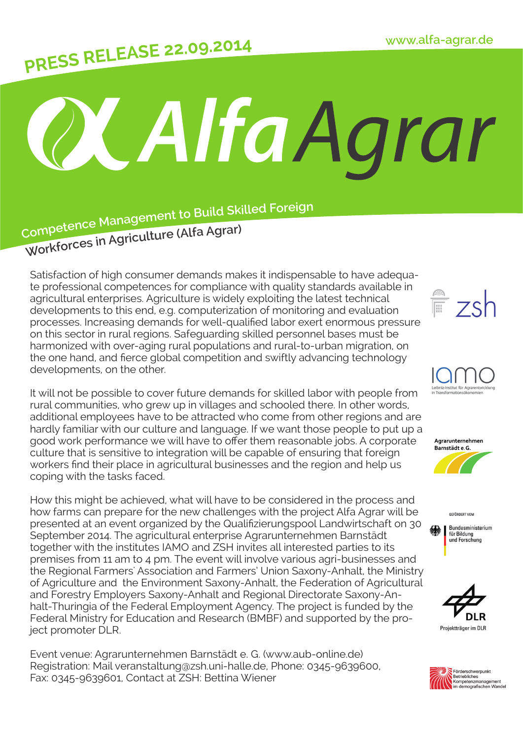## PRESS RELEASE 22.09.2014

## **X Alfa Agrar**

Competence Management to Build Skilled Foreign Workforces in Agriculture (Alfa Agrar)

Satisfaction of high consumer demands makes it indispensable to have adequate professional competences for compliance with quality standards available in agricultural enterprises. Agriculture is widely exploiting the latest technical developments to this end, e.g. computerization of monitoring and evaluation processes. Increasing demands for well-qualified labor exert enormous pressure on this sector in rural regions. Safeguarding skilled personnel bases must be harmonized with over-aging rural populations and rural-to-urban migration, on the one hand, and fierce global competition and swiftly advancing technology developments, on the other.

It will not be possible to cover future demands for skilled labor with people from rural communities, who grew up in villages and schooled there. In other words, additional employees have to be attracted who come from other regions and are hardly familiar with our culture and language. If we want those people to put up a good work performance we will have to offer them reasonable jobs. A corporate culture that is sensitive to integration will be capable of ensuring that foreign workers find their place in agricultural businesses and the region and help us coping with the tasks faced.

How this might be achieved, what will have to be considered in the process and how farms can prepare for the new challenges with the project Alfa Agrar will be presented at an event organized by the Qualifizierungspool Landwirtschaft on 30 September 2014. The agricultural enterprise Agrarunternehmen Barnstädt together with the institutes IAMO and ZSH invites all interested parties to its premises from 11 am to 4 pm. The event will involve various agri-businesses and the Regional Farmers' Association and Farmers' Union Saxony-Anhalt, the Ministry of Agriculture and the Environment Saxony-Anhalt, the Federation of Agricultural and Forestry Employers Saxony-Anhalt and Regional Directorate Saxony-Anhalt-Thuringia of the Federal Employment Agency. The project is funded by the Federal Ministry for Education and Research (BMBF) and supported by the project promoter DLR.

Event venue: Agrarunternehmen Barnstädt e. G. (www.aub-online.de) Registration: Mail veranstaltung@zsh.uni-halle.de, Phone: 0345-9639600, Fax: 0345-9639601, Contact at ZSH: Bettina Wiener

 $\bar{r}$  zsh